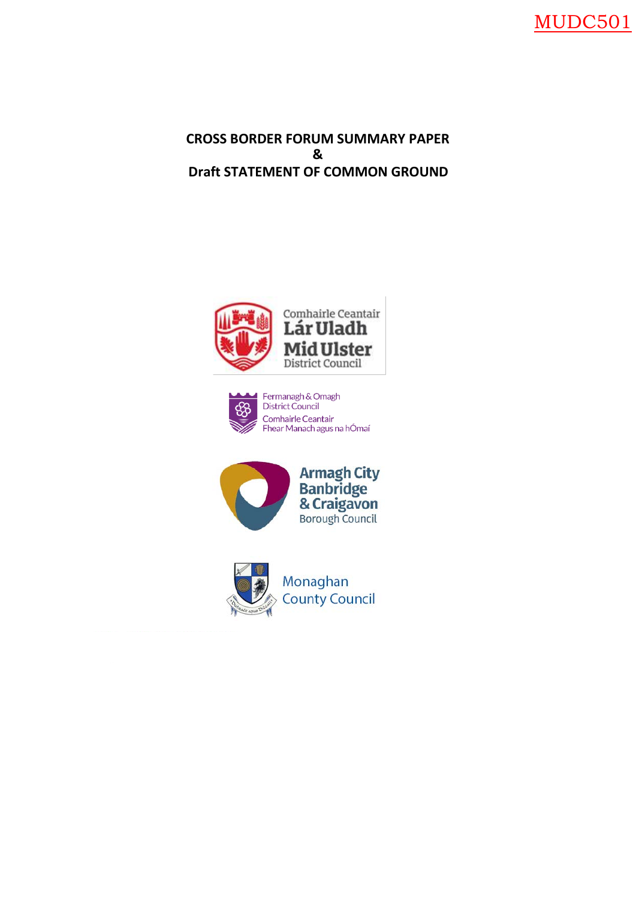

# **CROSS BORDER FORUM SUMMARY PAPER & Draft STATEMENT OF COMMON GROUND**







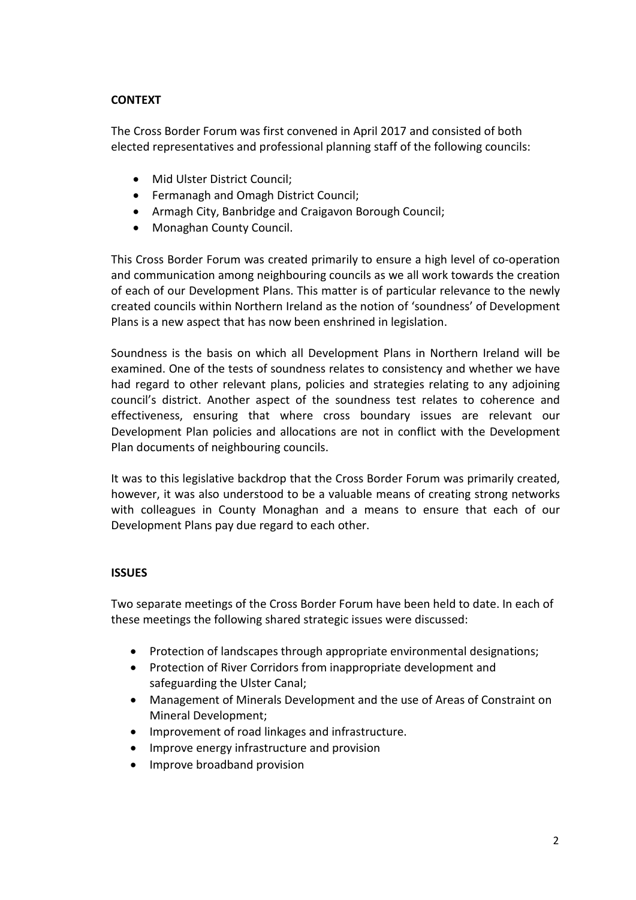## **CONTEXT**

The Cross Border Forum was first convened in April 2017 and consisted of both elected representatives and professional planning staff of the following councils:

- Mid Ulster District Council;
- Fermanagh and Omagh District Council;
- Armagh City, Banbridge and Craigavon Borough Council;
- Monaghan County Council.

This Cross Border Forum was created primarily to ensure a high level of co-operation and communication among neighbouring councils as we all work towards the creation of each of our Development Plans. This matter is of particular relevance to the newly created councils within Northern Ireland as the notion of 'soundness' of Development Plans is a new aspect that has now been enshrined in legislation.

Soundness is the basis on which all Development Plans in Northern Ireland will be examined. One of the tests of soundness relates to consistency and whether we have had regard to other relevant plans, policies and strategies relating to any adjoining council's district. Another aspect of the soundness test relates to coherence and effectiveness, ensuring that where cross boundary issues are relevant our Development Plan policies and allocations are not in conflict with the Development Plan documents of neighbouring councils.

It was to this legislative backdrop that the Cross Border Forum was primarily created, however, it was also understood to be a valuable means of creating strong networks with colleagues in County Monaghan and a means to ensure that each of our Development Plans pay due regard to each other.

### **ISSUES**

Two separate meetings of the Cross Border Forum have been held to date. In each of these meetings the following shared strategic issues were discussed:

- Protection of landscapes through appropriate environmental designations;
- Protection of River Corridors from inappropriate development and safeguarding the Ulster Canal;
- Management of Minerals Development and the use of Areas of Constraint on Mineral Development;
- Improvement of road linkages and infrastructure.
- Improve energy infrastructure and provision
- Improve broadband provision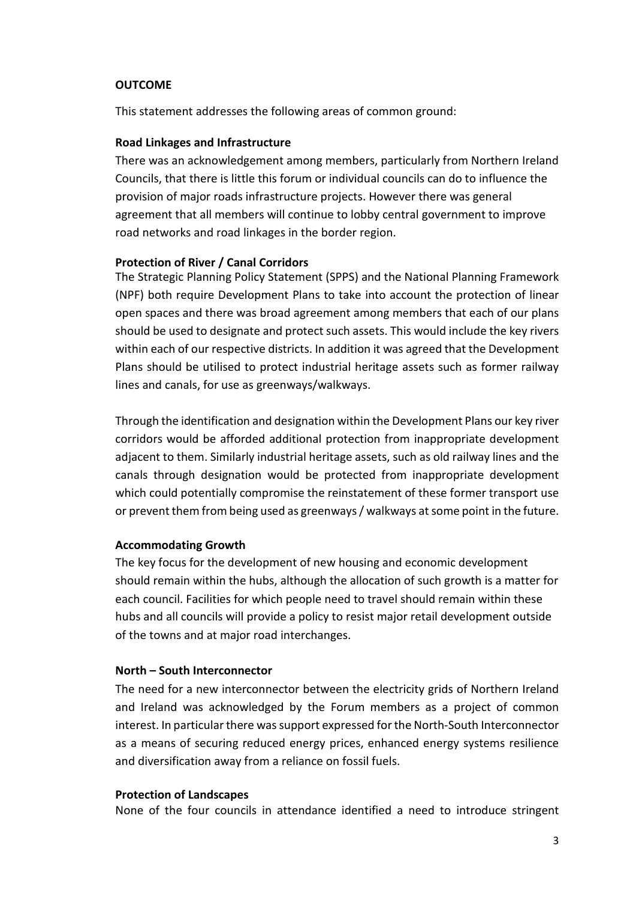#### **OUTCOME**

This statement addresses the following areas of common ground:

#### **Road Linkages and Infrastructure**

There was an acknowledgement among members, particularly from Northern Ireland Councils, that there is little this forum or individual councils can do to influence the provision of major roads infrastructure projects. However there was general agreement that all members will continue to lobby central government to improve road networks and road linkages in the border region.

#### **Protection of River / Canal Corridors**

The Strategic Planning Policy Statement (SPPS) and the National Planning Framework (NPF) both require Development Plans to take into account the protection of linear open spaces and there was broad agreement among members that each of our plans should be used to designate and protect such assets. This would include the key rivers within each of our respective districts. In addition it was agreed that the Development Plans should be utilised to protect industrial heritage assets such as former railway lines and canals, for use as greenways/walkways.

Through the identification and designation within the Development Plans our key river corridors would be afforded additional protection from inappropriate development adjacent to them. Similarly industrial heritage assets, such as old railway lines and the canals through designation would be protected from inappropriate development which could potentially compromise the reinstatement of these former transport use or prevent them from being used as greenways / walkways at some point in the future.

#### **Accommodating Growth**

The key focus for the development of new housing and economic development should remain within the hubs, although the allocation of such growth is a matter for each council. Facilities for which people need to travel should remain within these hubs and all councils will provide a policy to resist major retail development outside of the towns and at major road interchanges.

#### **North – South Interconnector**

The need for a new interconnector between the electricity grids of Northern Ireland and Ireland was acknowledged by the Forum members as a project of common interest. In particular there was support expressed for the North-South Interconnector as a means of securing reduced energy prices, enhanced energy systems resilience and diversification away from a reliance on fossil fuels.

#### **Protection of Landscapes**

None of the four councils in attendance identified a need to introduce stringent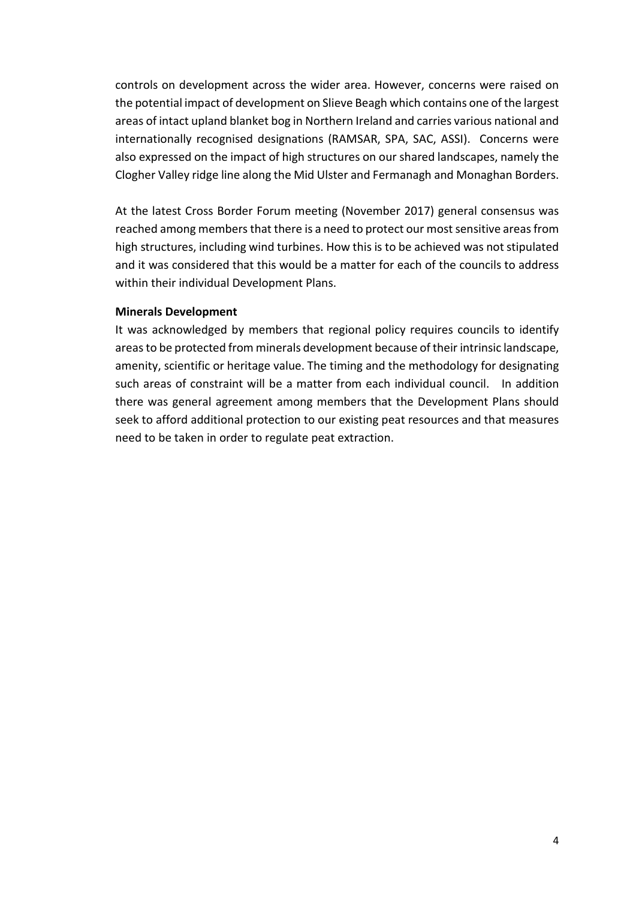controls on development across the wider area. However, concerns were raised on the potential impact of development on Slieve Beagh which contains one of the largest areas of intact upland blanket bog in Northern Ireland and carries various national and internationally recognised designations (RAMSAR, SPA, SAC, ASSI). Concerns were also expressed on the impact of high structures on our shared landscapes, namely the Clogher Valley ridge line along the Mid Ulster and Fermanagh and Monaghan Borders.

At the latest Cross Border Forum meeting (November 2017) general consensus was reached among members that there is a need to protect our most sensitive areas from high structures, including wind turbines. How this is to be achieved was not stipulated and it was considered that this would be a matter for each of the councils to address within their individual Development Plans.

### **Minerals Development**

It was acknowledged by members that regional policy requires councils to identify areas to be protected from minerals development because of their intrinsic landscape, amenity, scientific or heritage value. The timing and the methodology for designating such areas of constraint will be a matter from each individual council. In addition there was general agreement among members that the Development Plans should seek to afford additional protection to our existing peat resources and that measures need to be taken in order to regulate peat extraction.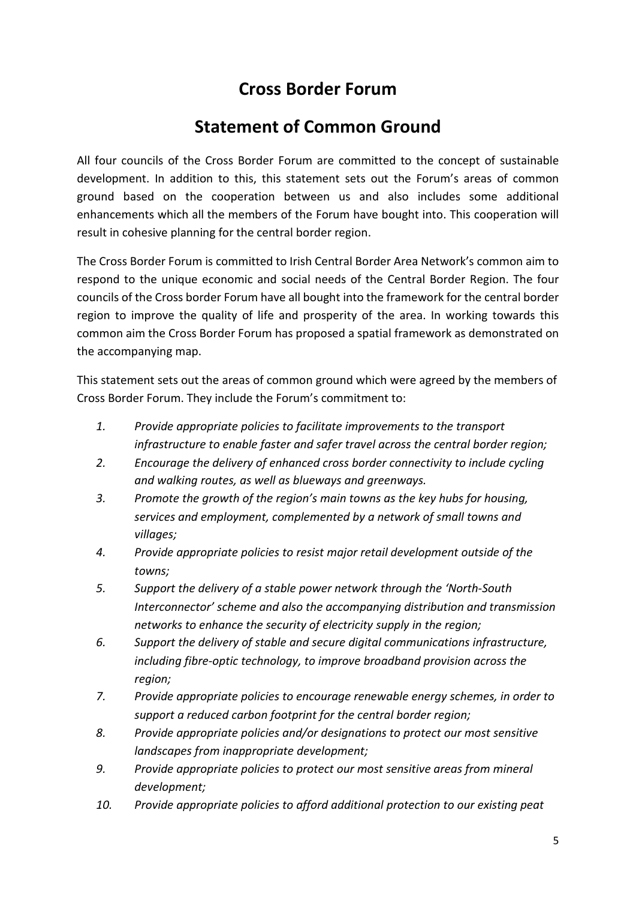# **Cross Border Forum**

# **Statement of Common Ground**

All four councils of the Cross Border Forum are committed to the concept of sustainable development. In addition to this, this statement sets out the Forum's areas of common ground based on the cooperation between us and also includes some additional enhancements which all the members of the Forum have bought into. This cooperation will result in cohesive planning for the central border region.

The Cross Border Forum is committed to Irish Central Border Area Network's common aim to respond to the unique economic and social needs of the Central Border Region. The four councils of the Cross border Forum have all bought into the framework for the central border region to improve the quality of life and prosperity of the area. In working towards this common aim the Cross Border Forum has proposed a spatial framework as demonstrated on the accompanying map.

This statement sets out the areas of common ground which were agreed by the members of Cross Border Forum. They include the Forum's commitment to:

- *1. Provide appropriate policies to facilitate improvements to the transport infrastructure to enable faster and safer travel across the central border region;*
- *2. Encourage the delivery of enhanced cross border connectivity to include cycling and walking routes, as well as blueways and greenways.*
- *3. Promote the growth of the region's main towns as the key hubs for housing, services and employment, complemented by a network of small towns and villages;*
- *4. Provide appropriate policies to resist major retail development outside of the towns;*
- *5. Support the delivery of a stable power network through the 'North-South Interconnector' scheme and also the accompanying distribution and transmission networks to enhance the security of electricity supply in the region;*
- *6. Support the delivery of stable and secure digital communications infrastructure, including fibre-optic technology, to improve broadband provision across the region;*
- *7. Provide appropriate policies to encourage renewable energy schemes, in order to support a reduced carbon footprint for the central border region;*
- *8. Provide appropriate policies and/or designations to protect our most sensitive landscapes from inappropriate development;*
- *9. Provide appropriate policies to protect our most sensitive areas from mineral development;*
- *10. Provide appropriate policies to afford additional protection to our existing peat*